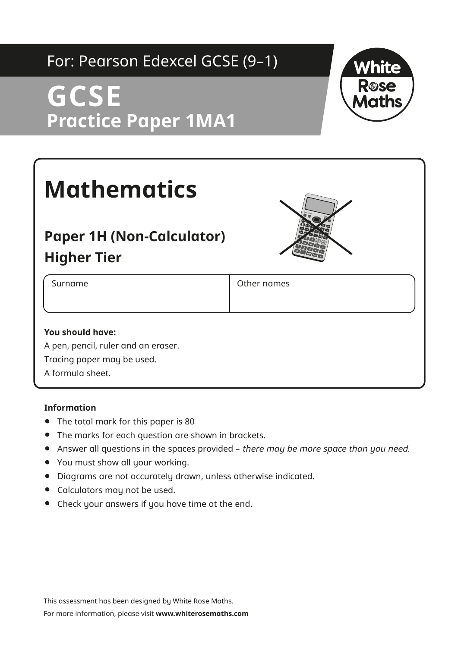## For: Pearson Edexcel GCSE (9–1)

## **GCSE Practice Paper 1MA1**



# **Mathematics**

### **Paper 1H (Non-Calculator) Higher Tier**



Surname **Communist Surnames Other names** 

#### **You should have:**

A pen, pencil, ruler and an eraser. Tracing paper may be used. A formula sheet.

#### **Information**

- **•** The total mark for this paper is 80
- **•** The marks for each question are shown in brackets.
- **•** Answer all questions in the spaces provided there may be more space than you need.
- **•** You must show all your working.
- **•** Diagrams are not accurately drawn, unless otherwise indicated.
- **•** Calculators may not be used.
- **•** Check your answers if you have time at the end.

This assessment has been designed by White Rose Maths.

For more information, please visit **www.whiterosemaths.com**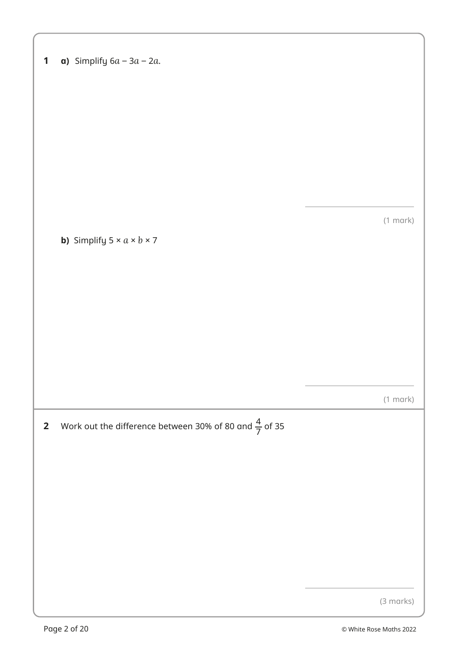| 1 |  | <b>a)</b> Simplify $6a - 3a - 2a$ . |  |  |  |
|---|--|-------------------------------------|--|--|--|
|---|--|-------------------------------------|--|--|--|

(1 mark)

**b)** Simplify  $5 \times a \times b \times 7$ 

(1 mark)

**2** Work out the difference between 30% of 80 and  $\frac{4}{7}$  of 35

(3 marks)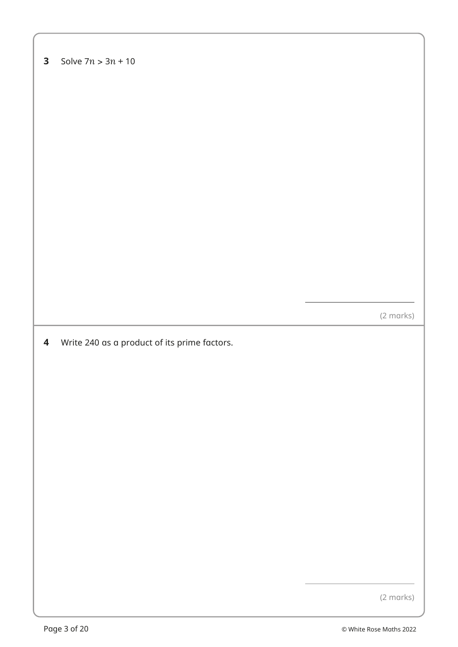#### **3** Solve  $7n > 3n + 10$

(2 marks)

**4** Write 240 as a product of its prime factors.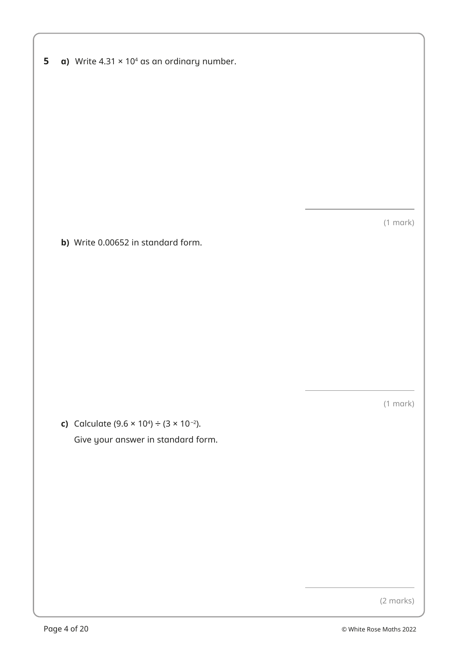|  |  | 5 $\alpha$ ) Write 4.31 $\times$ 10 <sup>4</sup> as an ordinary number. |  |  |  |  |
|--|--|-------------------------------------------------------------------------|--|--|--|--|
|--|--|-------------------------------------------------------------------------|--|--|--|--|

(1 mark)

**b)** Write 0.00652 in standard form.

(1 mark)

**c)** Calculate  $(9.6 \times 10^4) \div (3 \times 10^{-2})$ . Give your answer in standard form.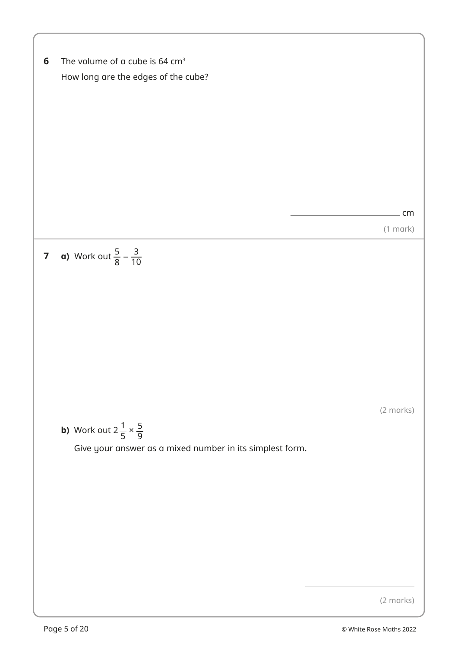6 The volume of a cube is 64 cm<sup>3</sup>

\nHow long are the edges of the cube?

\n7 a) Work out 
$$
\frac{5}{8} - \frac{3}{10}
$$

\n8 a 10 m/s

\n9 a 20 m/s

\n10 a 30 m/s

\n11 m/s

\n12 m/s

\n13 a 40 m/s

\n14 a 50 m/s

\n15 a 60 m/s

\n16 a 70 m/s

\n17 a 80 m/s

\n18 a 80 m/s

\n19 a 10 m/s

\n10 m/s

\n11 a 11 m/s

\n12 m/s

\n12 m/s

\n13 a 14 m/s

\n14 a 15 m/s

\n15 a 160 m/s

\n16 a 17 m/s

\n17 a 19 m/s

\n18 a 19 m/s

\n19 a 10 m/s

\n10 m/s

\n11 a 10 m/s

\n12 m/s

\n13 a 10 m/s

\n14 a 10 m/s

\n15 a 10 m/s

\n16 a 10 m/s

\n17 a 19 m/s

\n18 a 10 m/s

\n19 a 10 m/s

\n10 m/s

\n10 m/s

\n11 a 10 m/s

\n12 m/s

\n13 a 10 m/s

\n14 a 10 m/s

\n15 a 10 m/s

\n16 a 10 m/s

\n17 a 19 m/s

\n18 a 10 m/s

\n19 a 10 m/s

\n10 m/s

\n10 m/s

\n11 a 10 m/s

\n12 m/s

\n12 m/s

\n13 a 10 m/s

\n14 a 10 m/s

\n15 a 10 m/s

\n16 a 10 m/s

\n17 a 19 m/s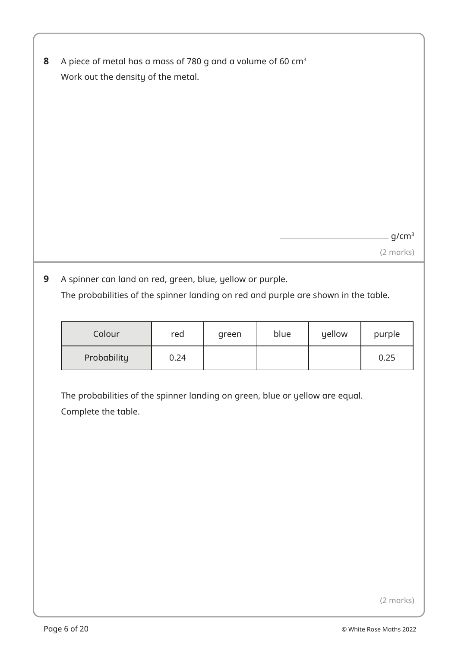| 8 A piece of metal has a mass of 780 g and a volume of 60 cm <sup>3</sup> |
|---------------------------------------------------------------------------|
| Work out the density of the metal.                                        |

g/cm<sup>3</sup>

(2 marks)

**9** A spinner can land on red, green, blue, yellow or purple. The probabilities of the spinner landing on red and purple are shown in the table.

| Colour      | red  | green | blue | yellow | purple |
|-------------|------|-------|------|--------|--------|
| Probability | 0.24 |       |      |        | 0.25   |

The probabilities of the spinner landing on green, blue or yellow are equal. Complete the table.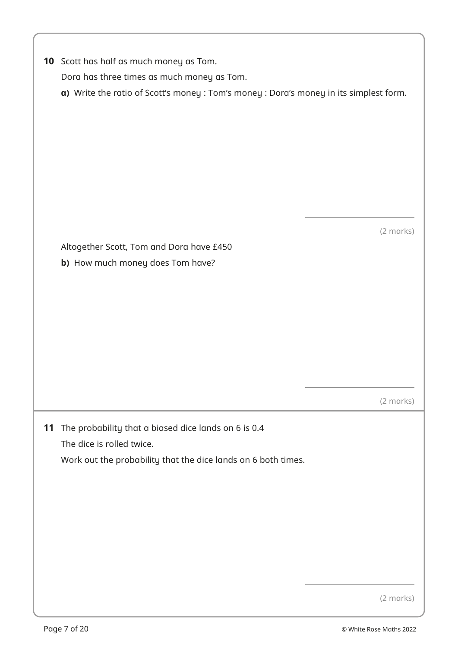| <b>10</b> Scott has half as much money as Tom. |
|------------------------------------------------|
| Dora has three times as much money as Tom.     |

**a)** Write the ratio of Scott's money : Tom's money : Dora's money in its simplest form.

(2 marks)

Altogether Scott, Tom and Dora have £450 **b)** How much money does Tom have?

(2 marks)

**11** The probability that a biased dice lands on 6 is 0.4 The dice is rolled twice. Work out the probability that the dice lands on 6 both times.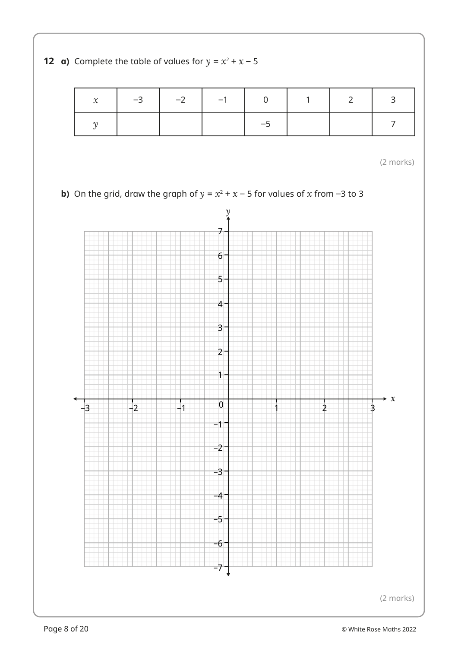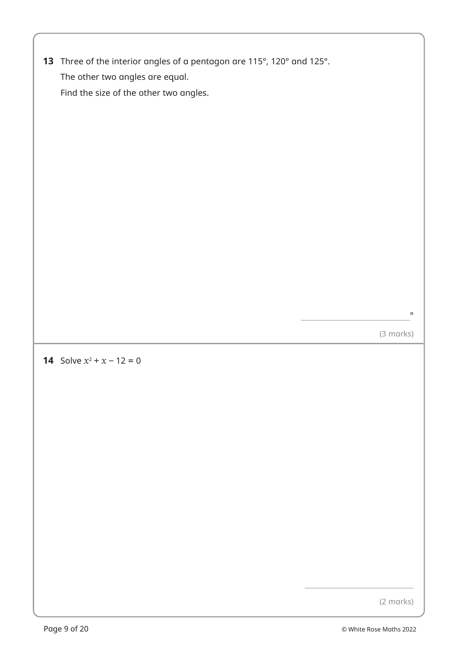**13** Three of the interior angles of a pentagon are 115°, 120° and 125°. The other two angles are equal. Find the size of the other two angles.

(3 marks)

 $\circ$ 

#### **14** Solve  $x^2 + x - 12 = 0$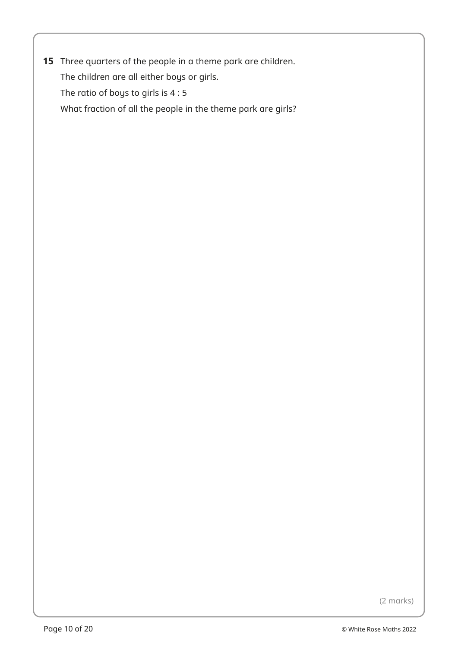**15** Three quarters of the people in a theme park are children. The children are all either boys or girls. The ratio of boys to girls is 4 : 5 What fraction of all the people in the theme park are girls?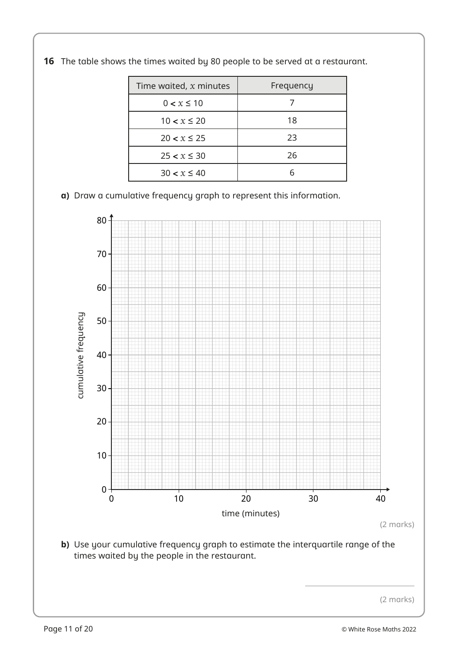| Time waited, $x$ minutes | Frequency |
|--------------------------|-----------|
| $0 < x \le 10$           |           |
| $10 < x \leq 20$         | 18        |
| $20 < x \leq 25$         | 23        |
| $25 < x \leq 30$         | 26        |
| $30 < x \leq 40$         |           |

**16** The table shows the times waited by 80 people to be served at a restaurant.

**a)** Draw a cumulative frequency graph to represent this information.



**b)** Use your cumulative frequency graph to estimate the interquartile range of the times waited by the people in the restaurant.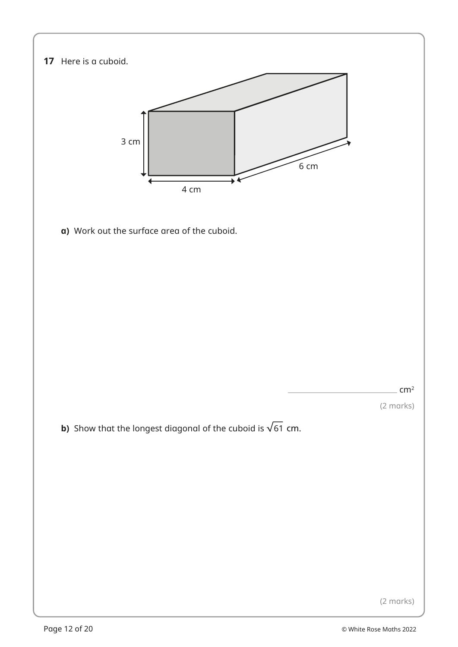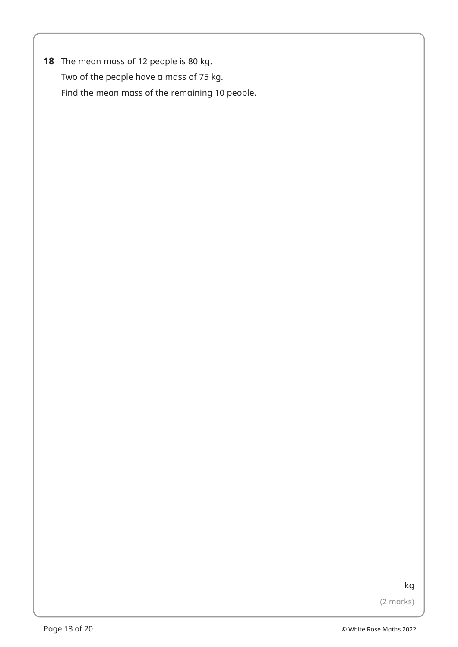**18** The mean mass of 12 people is 80 kg. Two of the people have a mass of 75 kg. Find the mean mass of the remaining 10 people.

kg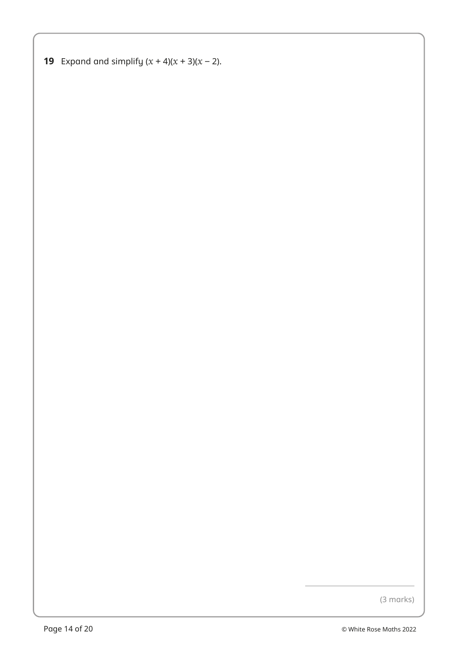**19** Expand and simplify  $(x + 4)(x + 3)(x - 2)$ .

(3 marks)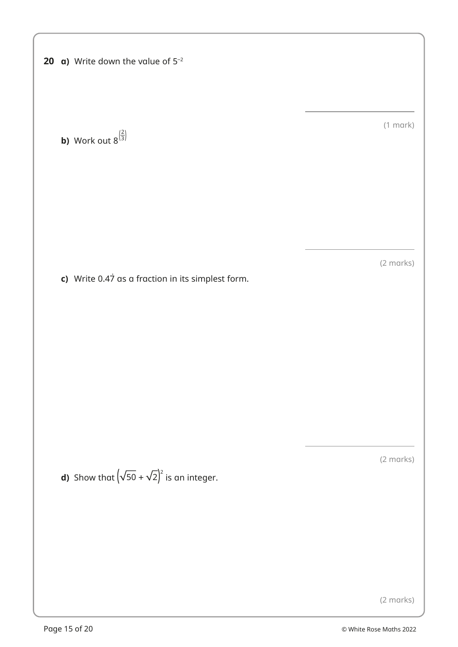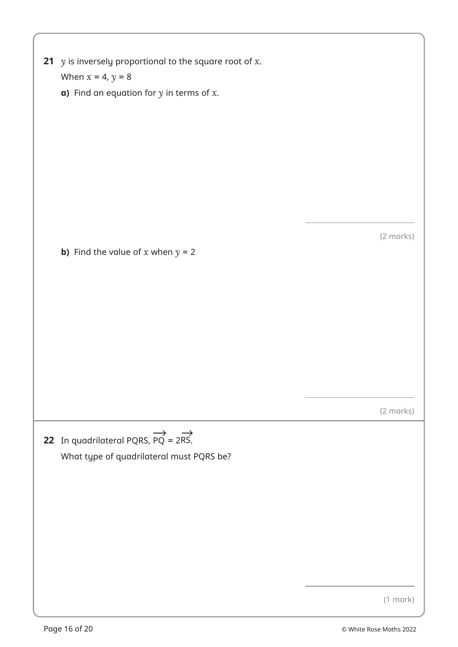| 21 $y$ is inversely proportional to the square root of $x$ .<br>When $x = 4$ , $y = 8$                               |               |
|----------------------------------------------------------------------------------------------------------------------|---------------|
| <b>a)</b> Find an equation for $y$ in terms of $x$ .                                                                 |               |
|                                                                                                                      |               |
|                                                                                                                      |               |
|                                                                                                                      |               |
|                                                                                                                      |               |
|                                                                                                                      |               |
|                                                                                                                      |               |
| <b>b)</b> Find the value of x when $y = 2$                                                                           | (2 marks)     |
|                                                                                                                      |               |
|                                                                                                                      |               |
|                                                                                                                      |               |
|                                                                                                                      |               |
|                                                                                                                      |               |
|                                                                                                                      |               |
|                                                                                                                      | (2 marks)     |
|                                                                                                                      |               |
| 22 In quadrilateral PQRS, $\overrightarrow{PQ} = 2\overrightarrow{RS}$ .<br>What type of quadrilateral must PQRS be? |               |
|                                                                                                                      |               |
|                                                                                                                      |               |
|                                                                                                                      |               |
|                                                                                                                      |               |
|                                                                                                                      |               |
|                                                                                                                      |               |
|                                                                                                                      | $(1$ mark $)$ |
|                                                                                                                      |               |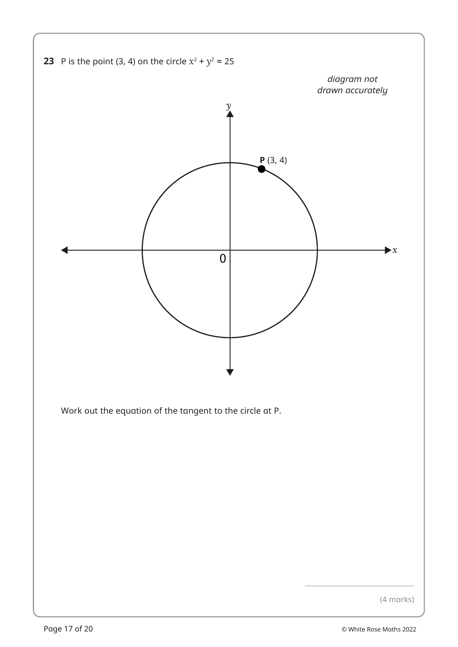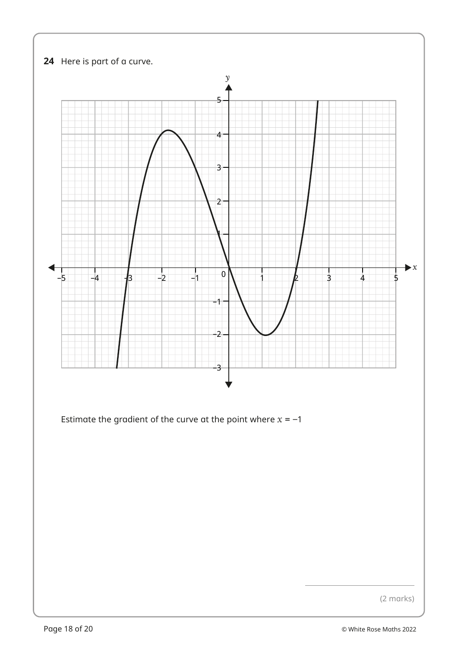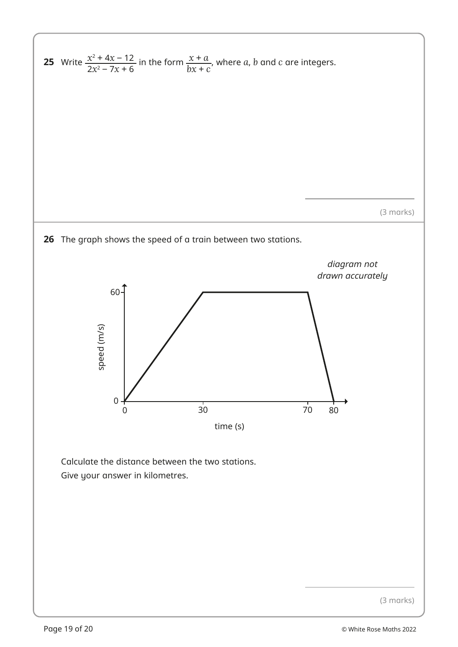